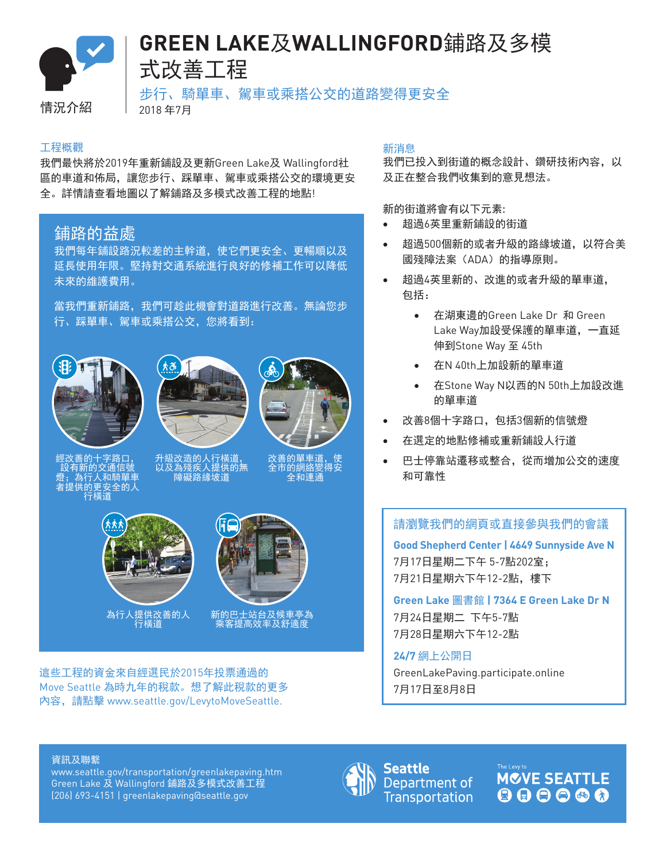

# **GREEN LAKE**及**WALLINGFORD**鋪路及多模 式改善工程

情況介紹 | 2018年7月

步行、騎單車、駕車或乘搭公交的道路變得更安全

#### 工程概觀

我們最快將於2019年重新鋪設及更新Green Lake及 Wallingford社 區的車道和佈局,讓您步行、踩單車、駕車或乘搭公交的環境更安 全。詳情請查看地圖以了解鋪路及多模式改善工程的地點!

## 鋪路的益處

我們每年鋪設路況較差的主幹道,使它們更安全、更暢順以及 延長使用年限。堅持對交通系統進行良好的修補工作可以降低 未來的維護費用。

當我們重新鋪路,我們可趁此機會對道路進行改善。無論您步 行、踩單車、駕車或乘搭公交,您將看到:







經改善的十字路口, 設有新的交通信號 燈;為行人和騎單車 者提供的更安全的人 行橫道

升級改造的人行橫道, 以及為殘疾人提供的無 障礙路緣坡道

改善的單車道,使 全市的網絡變得安 全和連通



為行人提供改善的人 行橫道



新的巴士站台及候車亭為 乘客提高效率及舒適度

這些工程的資金來自經選民於2015年投票通過的 Move Seattle 為時九年的稅款。想了解此稅款的更多 內容,請點擊 www.seattle.gov/LevytoMoveSeattle.

#### 新消息

我們已投入到街道的概念設計、鑽研技術內容,以 及正在整合我們收集到的意見想法。

新的街道將會有以下元素:

- 超過6英里重新鋪設的街道
- 超過500個新的或者升級的路緣坡道, 以符合美 國殘障法案(ADA)的指導原則。
- 超過4英里新的、改進的或者升級的單車道, 包括:
	- • 在湖東邊的Green Lake Dr 和 Green Lake Way加設受保護的單車道,一直延 伸到Stone Way 至 45th
	- 在N 40th上加設新的單車道
	- 在Stone Way N以西的N 50th上加設改進 的單車道
- 改善8個十字路口,包括3個新的信號燈
- 在選定的地點修補或重新鋪設人行道
- 巴士停靠站遷移或整合,從而增加公交的速度 和可靠性

請瀏覽我們的網頁或直接參與我們的會議

**Good Shepherd Center | 4649 Sunnyside Ave N**  7月17日星期二下午 5-7點202室; 7月21日星期六下午12-2點,樓下

**Green Lake** 圖書館 **| 7364 E Green Lake Dr N**  7月24日星期二 下午5-7點 7月28日星期六下午12-2點

### **24/7** 網上公開日

GreenLakePaving.participate.online 7月17日至8月8日

#### 資訊及聯繫

www.seattle.gov/transportation/greenlakepaving.htm Green Lake 及 Wallingford 鋪路及多模式改善工程 (206) 693-4151 | greenlakepaving@seattle.gov



Seattle Department of **Transportation**  **MOVE SEATTLE** 886668